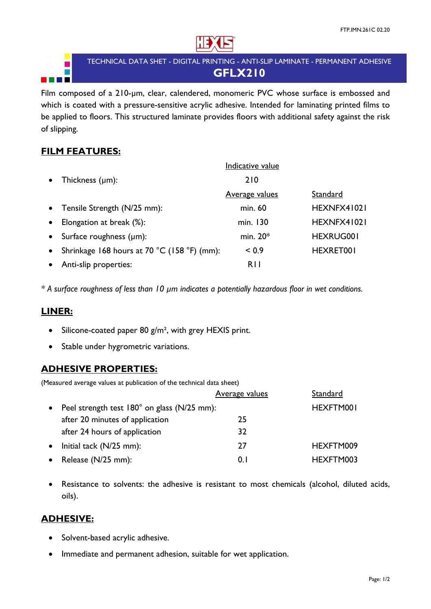

# TECHNICAL DATA SHET - DIGITAL PRINTING - ANTI-SLIP LAMINATE - PERMANENT ADHESIVE **GFLX210**

Film composed of a 210-µm, clear, calendered, monomeric PVC whose surface is embossed and which is coated with a pressure-sensitive acrylic adhesive. Intended for laminating printed films to be applied to floors. This structured laminate provides floors with additional safety against the risk of slipping.

# **FILM FEATURES:**

|           |                                             | Indicative value      |                  |
|-----------|---------------------------------------------|-----------------------|------------------|
| $\bullet$ | Thickness $(\mu m)$ :                       | 210                   |                  |
|           |                                             | <b>Average values</b> | Standard         |
|           | • Tensile Strength (N/25 mm):               | min. 60               | HEXNFX41021      |
|           | Elongation at break (%):                    | min. 130              | HEXNFX41021      |
| $\bullet$ | Surface roughness $(\mu m)$ :               | min. $20*$            | <b>HEXRUG001</b> |
| $\bullet$ | Shrinkage 168 hours at 70 °C (158 °F) (mm): | ${}_{0.9}$            | HEXRET001        |
|           | Anti-slip properties:                       | R <sub>II</sub>       |                  |

*\* A surface roughness of less than 10 µm indicates a potentially hazardous floor in wet conditions.* 

# **LINER:**

- $\bullet$  Silicone-coated paper 80 g/m<sup>2</sup>, with grey HEXIS print.
- Stable under hygrometric variations.

# **ADHESIVE PROPERTIES:**

(Measured average values at publication of the technical data sheet)

|           |                                             | <b>Average values</b> | Standard  |
|-----------|---------------------------------------------|-----------------------|-----------|
| $\bullet$ | Peel strength test 180° on glass (N/25 mm): |                       | HEXFTM001 |
|           | after 20 minutes of application             | 25                    |           |
|           | after 24 hours of application               | 32                    |           |
| $\bullet$ | Initial tack (N/25 mm):                     | 27                    | HEXFTM009 |
|           | • Release $(N/25$ mm):                      | 0. I                  | HEXFTM003 |

 Resistance to solvents: the adhesive is resistant to most chemicals (alcohol, diluted acids, oils).

# **ADHESIVE:**

- Solvent-based acrylic adhesive.
- Immediate and permanent adhesion, suitable for wet application.